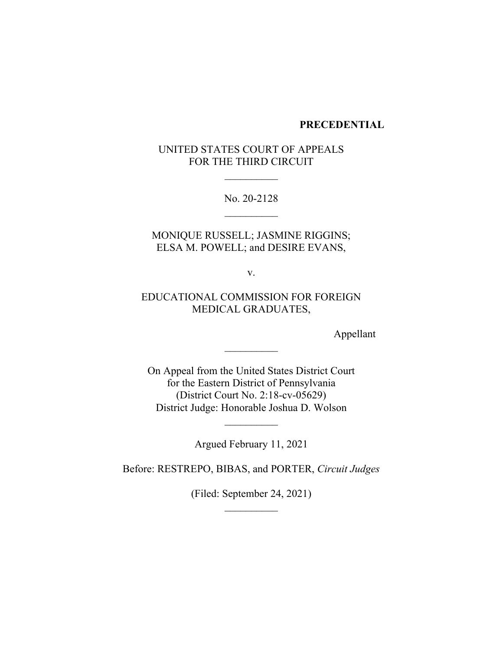#### **PRECEDENTIAL**

# UNITED STATES COURT OF APPEALS FOR THE THIRD CIRCUIT

No. 20-2128

MONIQUE RUSSELL; JASMINE RIGGINS; ELSA M. POWELL; and DESIRE EVANS,

v.

# EDUCATIONAL COMMISSION FOR FOREIGN MEDICAL GRADUATES,

Appellant

On Appeal from the United States District Court for the Eastern District of Pennsylvania (District Court No. 2:18-cv-05629) District Judge: Honorable Joshua D. Wolson

Argued February 11, 2021

Before: RESTREPO, BIBAS, and PORTER, *Circuit Judges*

(Filed: September 24, 2021)  $\frac{1}{2}$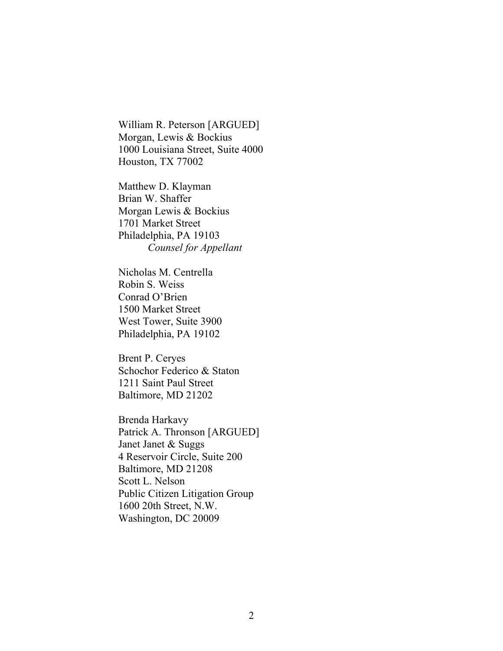William R. Peterson [ARGUED] Morgan, Lewis & Bockius 1000 Louisiana Street, Suite 4000 Houston, TX 77002

Matthew D. Klayman Brian W. Shaffer Morgan Lewis & Bockius 1701 Market Street Philadelphia, PA 19103 *Counsel for Appellant*

Nicholas M. Centrella Robin S. Weiss Conrad O'Brien 1500 Market Street West Tower, Suite 3900 Philadelphia, PA 19102

Brent P. Ceryes Schochor Federico & Staton 1211 Saint Paul Street Baltimore, MD 21202

Brenda Harkavy Patrick A. Thronson [ARGUED] Janet Janet & Suggs 4 Reservoir Circle, Suite 200 Baltimore, MD 21208 Scott L. Nelson Public Citizen Litigation Group 1600 20th Street, N.W. Washington, DC 20009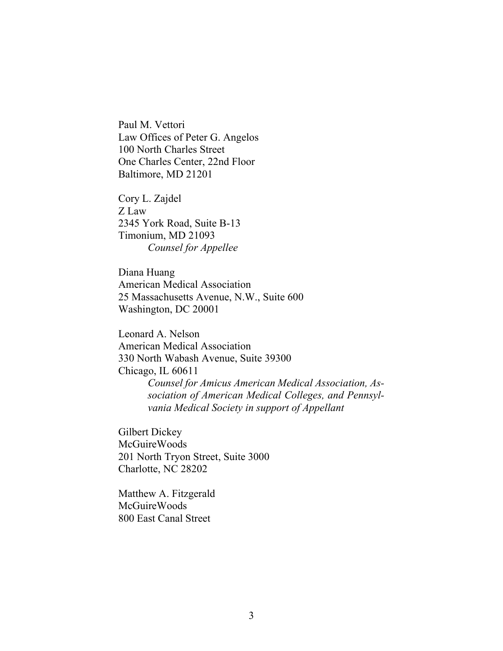Paul M. Vettori Law Offices of Peter G. Angelos 100 North Charles Street One Charles Center, 22nd Floor Baltimore, MD 21201

Cory L. Zajdel Z Law 2345 York Road, Suite B-13 Timonium, MD 21093 *Counsel for Appellee* 

Diana Huang American Medical Association 25 Massachusetts Avenue, N.W., Suite 600 Washington, DC 20001

Leonard A. Nelson American Medical Association 330 North Wabash Avenue, Suite 39300 Chicago, IL 60611 *Counsel for Amicus American Medical Association, Association of American Medical Colleges, and Pennsylvania Medical Society in support of Appellant*

Gilbert Dickey McGuireWoods 201 North Tryon Street, Suite 3000 Charlotte, NC 28202

Matthew A. Fitzgerald McGuireWoods 800 East Canal Street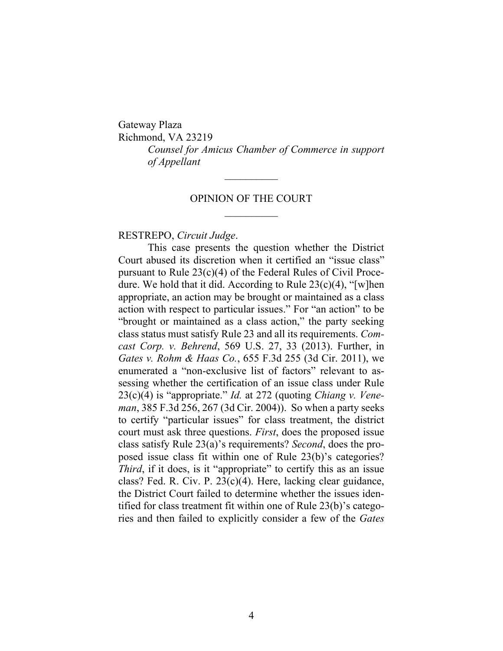Gateway Plaza Richmond, VA 23219 *Counsel for Amicus Chamber of Commerce in support of Appellant*

### OPINION OF THE COURT

### RESTREPO, *Circuit Judge*.

This case presents the question whether the District Court abused its discretion when it certified an "issue class" pursuant to Rule  $23(c)(4)$  of the Federal Rules of Civil Procedure. We hold that it did. According to Rule 23(c)(4), "[w]hen appropriate, an action may be brought or maintained as a class action with respect to particular issues." For "an action" to be "brought or maintained as a class action," the party seeking class status must satisfy Rule 23 and all its requirements. *Comcast Corp. v. Behrend*, 569 U.S. 27, 33 (2013). Further, in *Gates v. Rohm & Haas Co.*, 655 F.3d 255 (3d Cir. 2011), we enumerated a "non-exclusive list of factors" relevant to assessing whether the certification of an issue class under Rule 23(c)(4) is "appropriate." *Id.* at 272 (quoting *Chiang v. Veneman*, 385 F.3d 256, 267 (3d Cir. 2004)). So when a party seeks to certify "particular issues" for class treatment, the district court must ask three questions. *First*, does the proposed issue class satisfy Rule 23(a)'s requirements? *Second*, does the proposed issue class fit within one of Rule 23(b)'s categories? *Third*, if it does, is it "appropriate" to certify this as an issue class? Fed. R. Civ. P. 23(c)(4). Here, lacking clear guidance, the District Court failed to determine whether the issues identified for class treatment fit within one of Rule 23(b)'s categories and then failed to explicitly consider a few of the *Gates*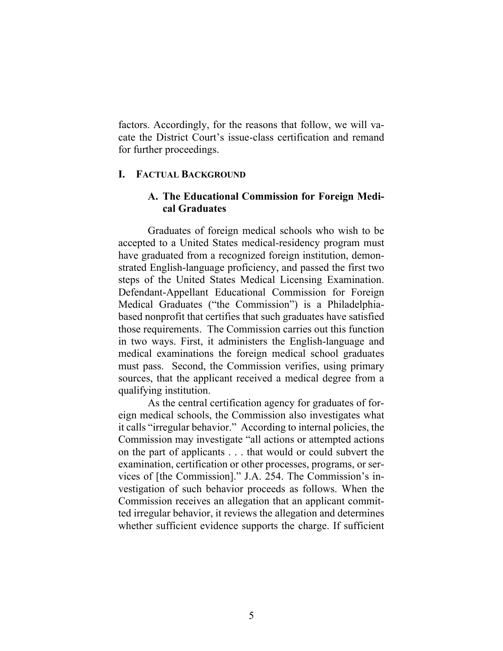factors. Accordingly, for the reasons that follow, we will vacate the District Court's issue-class certification and remand for further proceedings.

### **I. FACTUAL BACKGROUND**

## **A. The Educational Commission for Foreign Medical Graduates**

Graduates of foreign medical schools who wish to be accepted to a United States medical-residency program must have graduated from a recognized foreign institution, demonstrated English-language proficiency, and passed the first two steps of the United States Medical Licensing Examination. Defendant-Appellant Educational Commission for Foreign Medical Graduates ("the Commission") is a Philadelphiabased nonprofit that certifies that such graduates have satisfied those requirements. The Commission carries out this function in two ways. First, it administers the English-language and medical examinations the foreign medical school graduates must pass. Second, the Commission verifies, using primary sources, that the applicant received a medical degree from a qualifying institution.

As the central certification agency for graduates of foreign medical schools, the Commission also investigates what it calls "irregular behavior." According to internal policies, the Commission may investigate "all actions or attempted actions on the part of applicants . . . that would or could subvert the examination, certification or other processes, programs, or services of [the Commission]." J.A. 254. The Commission's investigation of such behavior proceeds as follows. When the Commission receives an allegation that an applicant committed irregular behavior, it reviews the allegation and determines whether sufficient evidence supports the charge. If sufficient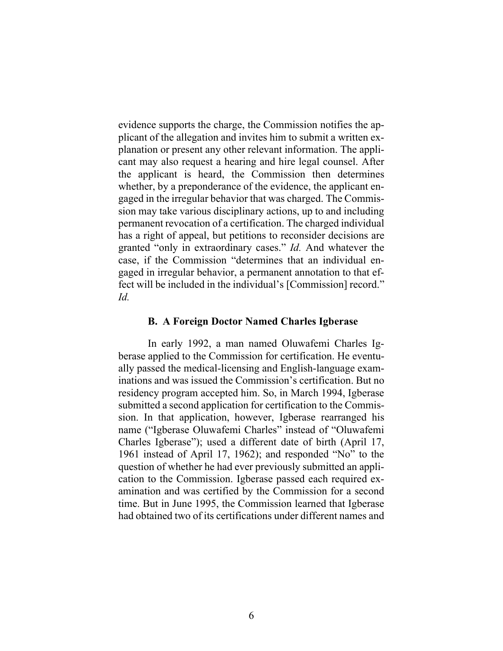evidence supports the charge, the Commission notifies the applicant of the allegation and invites him to submit a written explanation or present any other relevant information. The applicant may also request a hearing and hire legal counsel. After the applicant is heard, the Commission then determines whether, by a preponderance of the evidence, the applicant engaged in the irregular behavior that was charged. The Commission may take various disciplinary actions, up to and including permanent revocation of a certification. The charged individual has a right of appeal, but petitions to reconsider decisions are granted "only in extraordinary cases." *Id.* And whatever the case, if the Commission "determines that an individual engaged in irregular behavior, a permanent annotation to that effect will be included in the individual's [Commission] record." *Id.*

#### **B. A Foreign Doctor Named Charles Igberase**

In early 1992, a man named Oluwafemi Charles Igberase applied to the Commission for certification. He eventually passed the medical-licensing and English-language examinations and was issued the Commission's certification. But no residency program accepted him. So, in March 1994, Igberase submitted a second application for certification to the Commission. In that application, however, Igberase rearranged his name ("Igberase Oluwafemi Charles" instead of "Oluwafemi Charles Igberase"); used a different date of birth (April 17, 1961 instead of April 17, 1962); and responded "No" to the question of whether he had ever previously submitted an application to the Commission. Igberase passed each required examination and was certified by the Commission for a second time. But in June 1995, the Commission learned that Igberase had obtained two of its certifications under different names and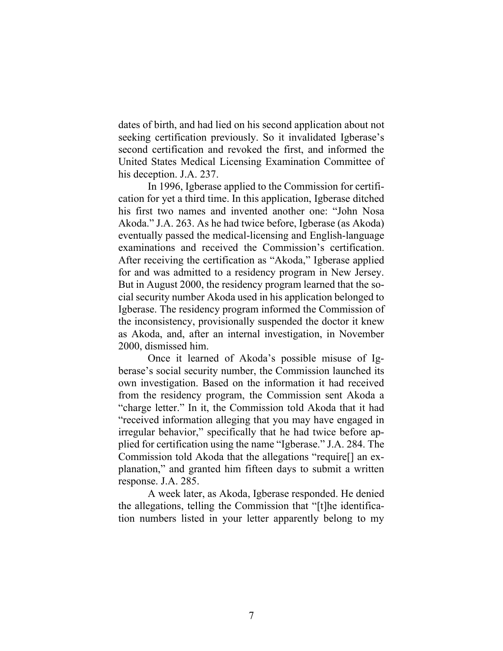dates of birth, and had lied on his second application about not seeking certification previously. So it invalidated Igberase's second certification and revoked the first, and informed the United States Medical Licensing Examination Committee of his deception. J.A. 237.

In 1996, Igberase applied to the Commission for certification for yet a third time. In this application, Igberase ditched his first two names and invented another one: "John Nosa Akoda." J.A. 263. As he had twice before, Igberase (as Akoda) eventually passed the medical-licensing and English-language examinations and received the Commission's certification. After receiving the certification as "Akoda," Igberase applied for and was admitted to a residency program in New Jersey. But in August 2000, the residency program learned that the social security number Akoda used in his application belonged to Igberase. The residency program informed the Commission of the inconsistency, provisionally suspended the doctor it knew as Akoda, and, after an internal investigation, in November 2000, dismissed him.

Once it learned of Akoda's possible misuse of Igberase's social security number, the Commission launched its own investigation. Based on the information it had received from the residency program, the Commission sent Akoda a "charge letter." In it, the Commission told Akoda that it had "received information alleging that you may have engaged in irregular behavior," specifically that he had twice before applied for certification using the name "Igberase." J.A. 284. The Commission told Akoda that the allegations "require[] an explanation," and granted him fifteen days to submit a written response. J.A. 285.

A week later, as Akoda, Igberase responded. He denied the allegations, telling the Commission that "[t]he identification numbers listed in your letter apparently belong to my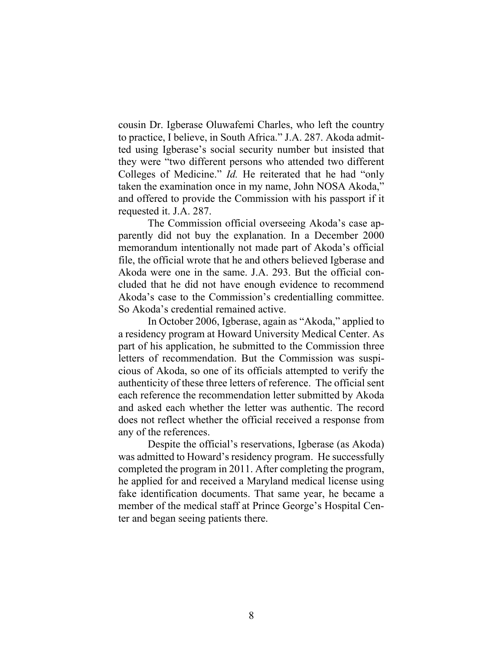cousin Dr. Igberase Oluwafemi Charles, who left the country to practice, I believe, in South Africa." J.A. 287. Akoda admitted using Igberase's social security number but insisted that they were "two different persons who attended two different Colleges of Medicine." *Id.* He reiterated that he had "only taken the examination once in my name, John NOSA Akoda," and offered to provide the Commission with his passport if it requested it. J.A. 287.

The Commission official overseeing Akoda's case apparently did not buy the explanation. In a December 2000 memorandum intentionally not made part of Akoda's official file, the official wrote that he and others believed Igberase and Akoda were one in the same. J.A. 293. But the official concluded that he did not have enough evidence to recommend Akoda's case to the Commission's credentialling committee. So Akoda's credential remained active.

In October 2006, Igberase, again as "Akoda," applied to a residency program at Howard University Medical Center. As part of his application, he submitted to the Commission three letters of recommendation. But the Commission was suspicious of Akoda, so one of its officials attempted to verify the authenticity of these three letters of reference. The official sent each reference the recommendation letter submitted by Akoda and asked each whether the letter was authentic. The record does not reflect whether the official received a response from any of the references.

Despite the official's reservations, Igberase (as Akoda) was admitted to Howard's residency program. He successfully completed the program in 2011. After completing the program, he applied for and received a Maryland medical license using fake identification documents. That same year, he became a member of the medical staff at Prince George's Hospital Center and began seeing patients there.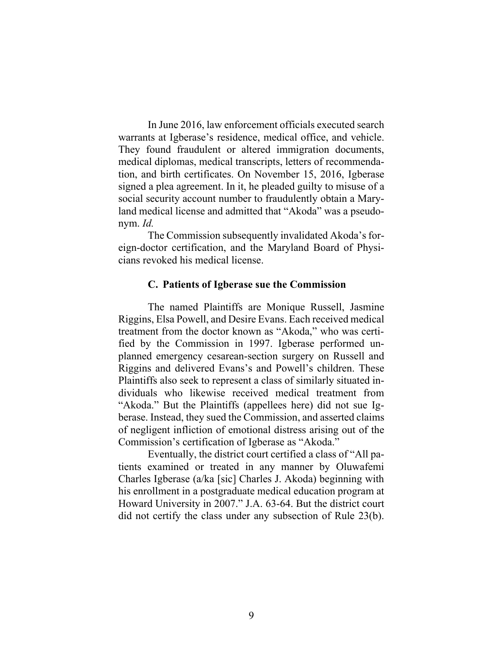In June 2016, law enforcement officials executed search warrants at Igberase's residence, medical office, and vehicle. They found fraudulent or altered immigration documents, medical diplomas, medical transcripts, letters of recommendation, and birth certificates. On November 15, 2016, Igberase signed a plea agreement. In it, he pleaded guilty to misuse of a social security account number to fraudulently obtain a Maryland medical license and admitted that "Akoda" was a pseudonym. *Id.* 

The Commission subsequently invalidated Akoda's foreign-doctor certification, and the Maryland Board of Physicians revoked his medical license.

### **C. Patients of Igberase sue the Commission**

The named Plaintiffs are Monique Russell, Jasmine Riggins, Elsa Powell, and Desire Evans. Each received medical treatment from the doctor known as "Akoda," who was certified by the Commission in 1997. Igberase performed unplanned emergency cesarean-section surgery on Russell and Riggins and delivered Evans's and Powell's children. These Plaintiffs also seek to represent a class of similarly situated individuals who likewise received medical treatment from "Akoda." But the Plaintiffs (appellees here) did not sue Igberase. Instead, they sued the Commission, and asserted claims of negligent infliction of emotional distress arising out of the Commission's certification of Igberase as "Akoda."

Eventually, the district court certified a class of "All patients examined or treated in any manner by Oluwafemi Charles Igberase (a/ka [sic] Charles J. Akoda) beginning with his enrollment in a postgraduate medical education program at Howard University in 2007." J.A. 63-64. But the district court did not certify the class under any subsection of Rule 23(b).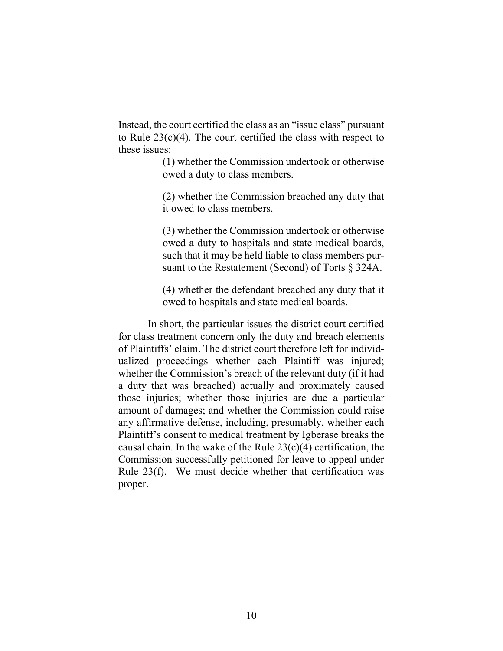Instead, the court certified the class as an "issue class" pursuant to Rule  $23(c)(4)$ . The court certified the class with respect to these issues:

> (1) whether the Commission undertook or otherwise owed a duty to class members.

> (2) whether the Commission breached any duty that it owed to class members.

> (3) whether the Commission undertook or otherwise owed a duty to hospitals and state medical boards, such that it may be held liable to class members pursuant to the Restatement (Second) of Torts § 324A.

> (4) whether the defendant breached any duty that it owed to hospitals and state medical boards.

In short, the particular issues the district court certified for class treatment concern only the duty and breach elements of Plaintiffs' claim. The district court therefore left for individualized proceedings whether each Plaintiff was injured; whether the Commission's breach of the relevant duty (if it had a duty that was breached) actually and proximately caused those injuries; whether those injuries are due a particular amount of damages; and whether the Commission could raise any affirmative defense, including, presumably, whether each Plaintiff's consent to medical treatment by Igberase breaks the causal chain. In the wake of the Rule  $23(c)(4)$  certification, the Commission successfully petitioned for leave to appeal under Rule 23(f). We must decide whether that certification was proper.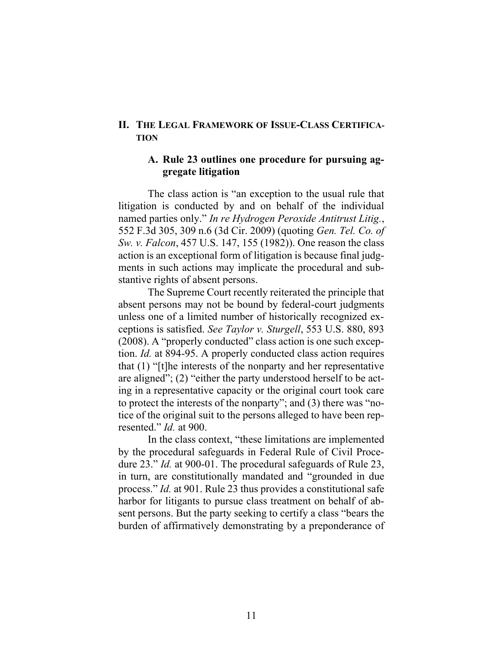### **II. THE LEGAL FRAMEWORK OF ISSUE-CLASS CERTIFICA-TION**

## **A. Rule 23 outlines one procedure for pursuing aggregate litigation**

The class action is "an exception to the usual rule that litigation is conducted by and on behalf of the individual named parties only." *In re Hydrogen Peroxide Antitrust Litig.*, 552 F.3d 305, 309 n.6 (3d Cir. 2009) (quoting *Gen. Tel. Co. of Sw. v. Falcon*, 457 U.S. 147, 155 (1982)). One reason the class action is an exceptional form of litigation is because final judgments in such actions may implicate the procedural and substantive rights of absent persons.

The Supreme Court recently reiterated the principle that absent persons may not be bound by federal-court judgments unless one of a limited number of historically recognized exceptions is satisfied. *See Taylor v. Sturgell*, 553 U.S. 880, 893 (2008). A "properly conducted" class action is one such exception. *Id.* at 894-95. A properly conducted class action requires that (1) "[t]he interests of the nonparty and her representative are aligned"; (2) "either the party understood herself to be acting in a representative capacity or the original court took care to protect the interests of the nonparty"; and (3) there was "notice of the original suit to the persons alleged to have been represented." *Id.* at 900.

In the class context, "these limitations are implemented by the procedural safeguards in Federal Rule of Civil Procedure 23." *Id.* at 900-01. The procedural safeguards of Rule 23, in turn, are constitutionally mandated and "grounded in due process." *Id.* at 901. Rule 23 thus provides a constitutional safe harbor for litigants to pursue class treatment on behalf of absent persons. But the party seeking to certify a class "bears the burden of affirmatively demonstrating by a preponderance of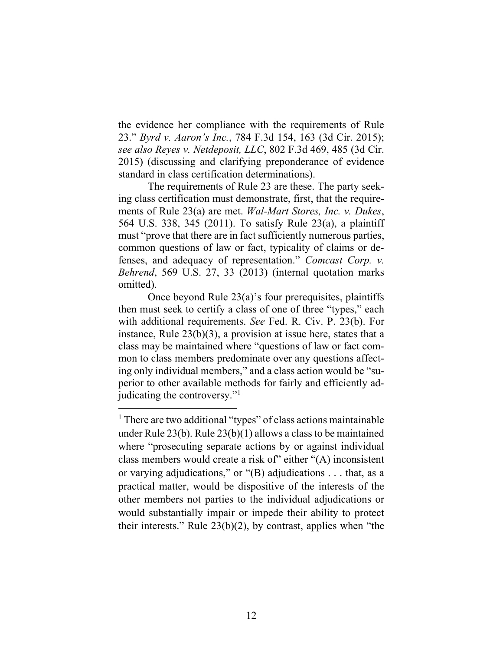the evidence her compliance with the requirements of Rule 23." *Byrd v. Aaron's Inc.*, 784 F.3d 154, 163 (3d Cir. 2015); *see also Reyes v. Netdeposit, LLC*, 802 F.3d 469, 485 (3d Cir. 2015) (discussing and clarifying preponderance of evidence standard in class certification determinations).

The requirements of Rule 23 are these. The party seeking class certification must demonstrate, first, that the requirements of Rule 23(a) are met. *Wal-Mart Stores, Inc. v. Dukes*, 564 U.S. 338, 345 (2011). To satisfy Rule 23(a), a plaintiff must "prove that there are in fact sufficiently numerous parties, common questions of law or fact, typicality of claims or defenses, and adequacy of representation." *Comcast Corp. v. Behrend*, 569 U.S. 27, 33 (2013) (internal quotation marks omitted).

Once beyond Rule 23(a)'s four prerequisites, plaintiffs then must seek to certify a class of one of three "types," each with additional requirements. *See* Fed. R. Civ. P. 23(b). For instance, Rule 23(b)(3), a provision at issue here, states that a class may be maintained where "questions of law or fact common to class members predominate over any questions affecting only individual members," and a class action would be "superior to other available methods for fairly and efficiently adjudicating the controversy."<sup>1</sup>

<sup>&</sup>lt;sup>1</sup> There are two additional "types" of class actions maintainable under Rule 23(b). Rule 23(b)(1) allows a class to be maintained where "prosecuting separate actions by or against individual class members would create a risk of" either "(A) inconsistent or varying adjudications," or "(B) adjudications . . . that, as a practical matter, would be dispositive of the interests of the other members not parties to the individual adjudications or would substantially impair or impede their ability to protect their interests." Rule 23(b)(2), by contrast, applies when "the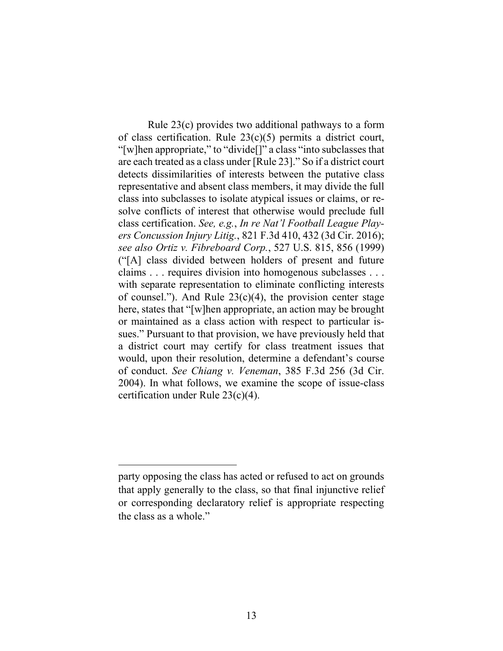Rule 23(c) provides two additional pathways to a form of class certification. Rule 23(c)(5) permits a district court, "[w]hen appropriate," to "divide[]" a class "into subclasses that are each treated as a class under [Rule 23]." So if a district court detects dissimilarities of interests between the putative class representative and absent class members, it may divide the full class into subclasses to isolate atypical issues or claims, or resolve conflicts of interest that otherwise would preclude full class certification. *See, e.g.*, *In re Nat'l Football League Players Concussion Injury Litig.*, 821 F.3d 410, 432 (3d Cir. 2016); *see also Ortiz v. Fibreboard Corp.*, 527 U.S. 815, 856 (1999) ("[A] class divided between holders of present and future claims . . . requires division into homogenous subclasses . . . with separate representation to eliminate conflicting interests of counsel."). And Rule  $23(c)(4)$ , the provision center stage here, states that "[w]hen appropriate, an action may be brought or maintained as a class action with respect to particular issues." Pursuant to that provision, we have previously held that a district court may certify for class treatment issues that would, upon their resolution, determine a defendant's course of conduct. *See Chiang v. Veneman*, 385 F.3d 256 (3d Cir. 2004). In what follows, we examine the scope of issue-class certification under Rule 23(c)(4).

party opposing the class has acted or refused to act on grounds that apply generally to the class, so that final injunctive relief or corresponding declaratory relief is appropriate respecting the class as a whole."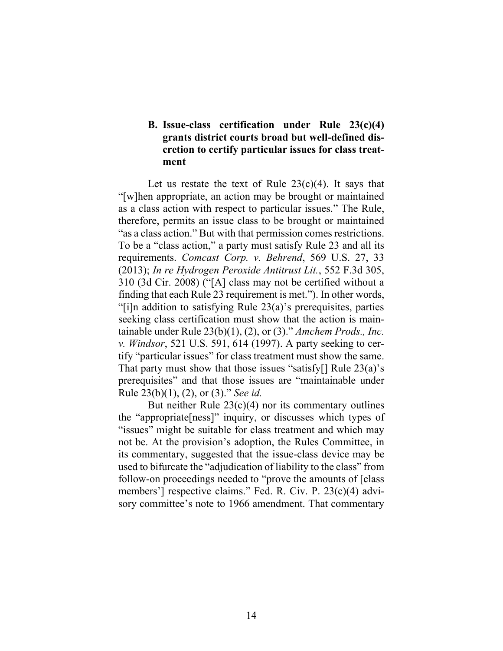# **B. Issue-class certification under Rule 23(c)(4) grants district courts broad but well-defined discretion to certify particular issues for class treatment**

Let us restate the text of Rule  $23(c)(4)$ . It says that "[w]hen appropriate, an action may be brought or maintained as a class action with respect to particular issues." The Rule, therefore, permits an issue class to be brought or maintained "as a class action." But with that permission comes restrictions. To be a "class action," a party must satisfy Rule 23 and all its requirements. *Comcast Corp. v. Behrend*, 569 U.S. 27, 33 (2013); *In re Hydrogen Peroxide Antitrust Lit.*, 552 F.3d 305, 310 (3d Cir. 2008) ("[A] class may not be certified without a finding that each Rule 23 requirement is met."). In other words, "[i]n addition to satisfying Rule 23(a)'s prerequisites, parties seeking class certification must show that the action is maintainable under Rule 23(b)(1), (2), or (3)." *Amchem Prods., Inc. v. Windsor*, 521 U.S. 591, 614 (1997). A party seeking to certify "particular issues" for class treatment must show the same. That party must show that those issues "satisfy[] Rule  $23(a)$ 's prerequisites" and that those issues are "maintainable under Rule 23(b)(1), (2), or (3)." *See id.*

But neither Rule 23(c)(4) nor its commentary outlines the "appropriate[ness]" inquiry, or discusses which types of "issues" might be suitable for class treatment and which may not be. At the provision's adoption, the Rules Committee, in its commentary, suggested that the issue-class device may be used to bifurcate the "adjudication of liability to the class" from follow-on proceedings needed to "prove the amounts of [class members'] respective claims." Fed. R. Civ. P. 23(c)(4) advisory committee's note to 1966 amendment. That commentary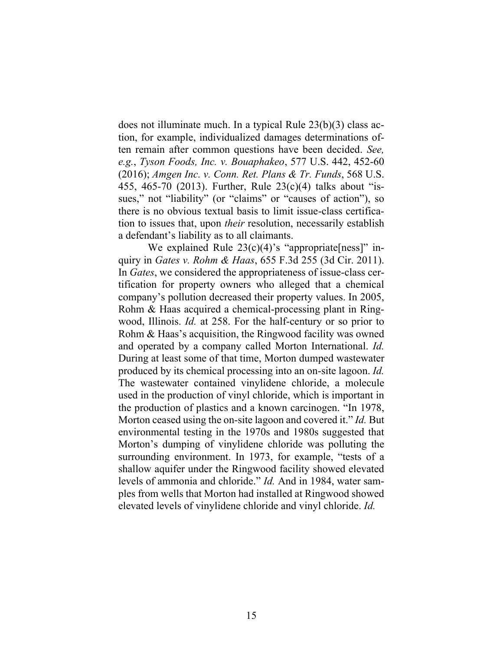does not illuminate much. In a typical Rule 23(b)(3) class action, for example, individualized damages determinations often remain after common questions have been decided. *See, e.g.*, *Tyson Foods, Inc. v. Bouaphakeo*, 577 U.S. 442, 452-60 (2016); *Amgen Inc. v. Conn. Ret. Plans & Tr. Funds*, 568 U.S. 455, 465-70 (2013). Further, Rule 23(c)(4) talks about "issues," not "liability" (or "claims" or "causes of action"), so there is no obvious textual basis to limit issue-class certification to issues that, upon *their* resolution, necessarily establish a defendant's liability as to all claimants.

We explained Rule  $23(c)(4)$ 's "appropriate[ness]" inquiry in *Gates v. Rohm & Haas*, 655 F.3d 255 (3d Cir. 2011). In *Gates*, we considered the appropriateness of issue-class certification for property owners who alleged that a chemical company's pollution decreased their property values. In 2005, Rohm & Haas acquired a chemical-processing plant in Ringwood, Illinois. *Id.* at 258. For the half-century or so prior to Rohm & Haas's acquisition, the Ringwood facility was owned and operated by a company called Morton International. *Id.* During at least some of that time, Morton dumped wastewater produced by its chemical processing into an on-site lagoon. *Id.* The wastewater contained vinylidene chloride, a molecule used in the production of vinyl chloride, which is important in the production of plastics and a known carcinogen. "In 1978, Morton ceased using the on-site lagoon and covered it." *Id.* But environmental testing in the 1970s and 1980s suggested that Morton's dumping of vinylidene chloride was polluting the surrounding environment. In 1973, for example, "tests of a shallow aquifer under the Ringwood facility showed elevated levels of ammonia and chloride." *Id.* And in 1984, water samples from wells that Morton had installed at Ringwood showed elevated levels of vinylidene chloride and vinyl chloride. *Id.*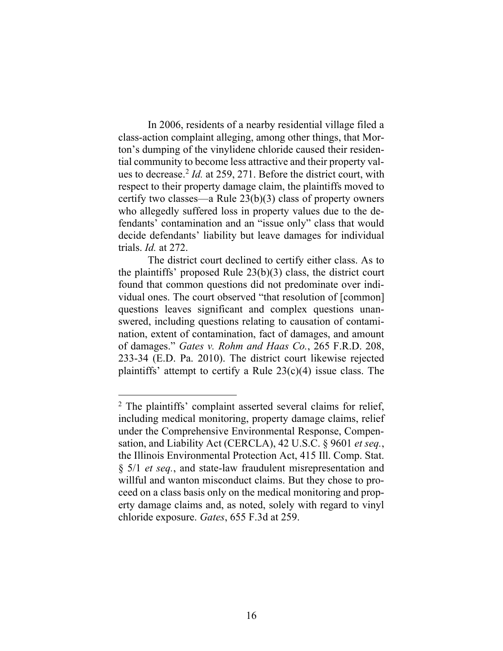In 2006, residents of a nearby residential village filed a class-action complaint alleging, among other things, that Morton's dumping of the vinylidene chloride caused their residential community to become less attractive and their property values to decrease.<sup>2</sup> Id. at 259, 271. Before the district court, with respect to their property damage claim, the plaintiffs moved to certify two classes—a Rule 23(b)(3) class of property owners who allegedly suffered loss in property values due to the defendants' contamination and an "issue only" class that would decide defendants' liability but leave damages for individual trials. *Id.* at 272.

The district court declined to certify either class. As to the plaintiffs' proposed Rule 23(b)(3) class, the district court found that common questions did not predominate over individual ones. The court observed "that resolution of [common] questions leaves significant and complex questions unanswered, including questions relating to causation of contamination, extent of contamination, fact of damages, and amount of damages." *Gates v. Rohm and Haas Co.*, 265 F.R.D. 208, 233-34 (E.D. Pa. 2010). The district court likewise rejected plaintiffs' attempt to certify a Rule 23(c)(4) issue class. The

<sup>&</sup>lt;sup>2</sup> The plaintiffs' complaint asserted several claims for relief, including medical monitoring, property damage claims, relief under the Comprehensive Environmental Response, Compensation, and Liability Act (CERCLA), 42 U.S.C. § 9601 *et seq.*, the Illinois Environmental Protection Act, 415 Ill. Comp. Stat. § 5/1 *et seq.*, and state-law fraudulent misrepresentation and willful and wanton misconduct claims. But they chose to proceed on a class basis only on the medical monitoring and property damage claims and, as noted, solely with regard to vinyl chloride exposure. *Gates*, 655 F.3d at 259.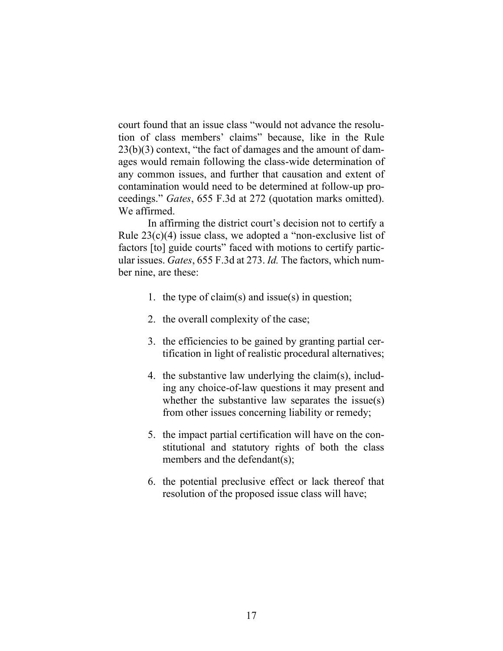court found that an issue class "would not advance the resolution of class members' claims" because, like in the Rule 23(b)(3) context, "the fact of damages and the amount of damages would remain following the class-wide determination of any common issues, and further that causation and extent of contamination would need to be determined at follow-up proceedings." *Gates*, 655 F.3d at 272 (quotation marks omitted). We affirmed.

In affirming the district court's decision not to certify a Rule 23(c)(4) issue class, we adopted a "non-exclusive list of factors [to] guide courts" faced with motions to certify particular issues. *Gates*, 655 F.3d at 273. *Id.* The factors, which number nine, are these:

- 1. the type of claim(s) and issue(s) in question;
- 2. the overall complexity of the case;
- 3. the efficiencies to be gained by granting partial certification in light of realistic procedural alternatives;
- 4. the substantive law underlying the claim(s), including any choice-of-law questions it may present and whether the substantive law separates the issue(s) from other issues concerning liability or remedy;
- 5. the impact partial certification will have on the constitutional and statutory rights of both the class members and the defendant(s);
- 6. the potential preclusive effect or lack thereof that resolution of the proposed issue class will have;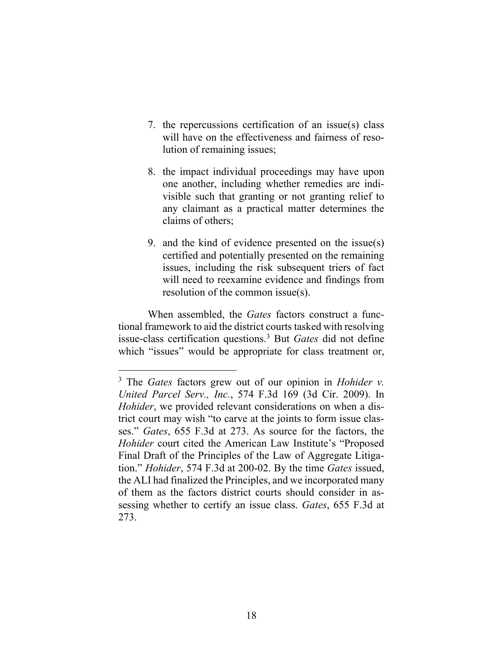- 7. the repercussions certification of an issue(s) class will have on the effectiveness and fairness of resolution of remaining issues;
- 8. the impact individual proceedings may have upon one another, including whether remedies are indivisible such that granting or not granting relief to any claimant as a practical matter determines the claims of others;
- 9. and the kind of evidence presented on the issue(s) certified and potentially presented on the remaining issues, including the risk subsequent triers of fact will need to reexamine evidence and findings from resolution of the common issue(s).

When assembled, the *Gates* factors construct a functional framework to aid the district courts tasked with resolving issue-class certification questions.<sup>3</sup> But *Gates* did not define which "issues" would be appropriate for class treatment or,

<sup>3</sup> The *Gates* factors grew out of our opinion in *Hohider v. United Parcel Serv., Inc.*, 574 F.3d 169 (3d Cir. 2009). In *Hohider*, we provided relevant considerations on when a district court may wish "to carve at the joints to form issue classes." *Gates*, 655 F.3d at 273. As source for the factors, the *Hohider* court cited the American Law Institute's "Proposed Final Draft of the Principles of the Law of Aggregate Litigation." *Hohider*, 574 F.3d at 200-02. By the time *Gates* issued, the ALI had finalized the Principles, and we incorporated many of them as the factors district courts should consider in assessing whether to certify an issue class. *Gates*, 655 F.3d at 273.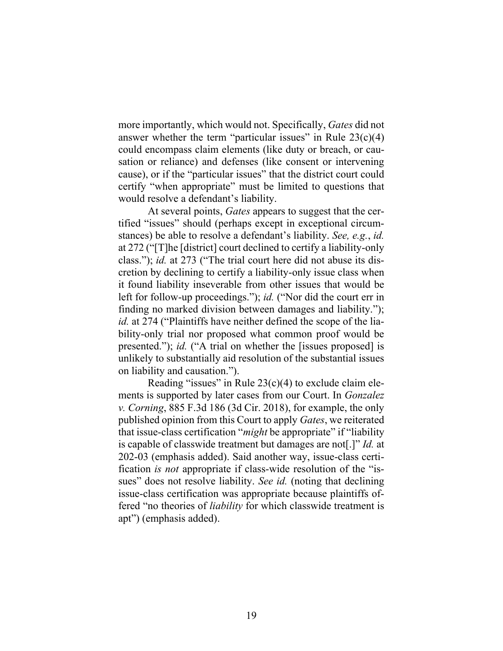more importantly, which would not. Specifically, *Gates* did not answer whether the term "particular issues" in Rule  $23(c)(4)$ could encompass claim elements (like duty or breach, or causation or reliance) and defenses (like consent or intervening cause), or if the "particular issues" that the district court could certify "when appropriate" must be limited to questions that would resolve a defendant's liability.

At several points, *Gates* appears to suggest that the certified "issues" should (perhaps except in exceptional circumstances) be able to resolve a defendant's liability. *See, e.g.*, *id.*  at 272 ("[T]he [district] court declined to certify a liability-only class."); *id.* at 273 ("The trial court here did not abuse its discretion by declining to certify a liability-only issue class when it found liability inseverable from other issues that would be left for follow-up proceedings."); *id.* ("Nor did the court err in finding no marked division between damages and liability."); *id.* at 274 ("Plaintiffs have neither defined the scope of the liability-only trial nor proposed what common proof would be presented."); *id.* ("A trial on whether the [issues proposed] is unlikely to substantially aid resolution of the substantial issues on liability and causation.").

Reading "issues" in Rule  $23(c)(4)$  to exclude claim elements is supported by later cases from our Court. In *Gonzalez v. Corning*, 885 F.3d 186 (3d Cir. 2018), for example, the only published opinion from this Court to apply *Gates*, we reiterated that issue-class certification "*might* be appropriate" if "liability is capable of classwide treatment but damages are not[.]" *Id.* at 202-03 (emphasis added). Said another way, issue-class certification *is not* appropriate if class-wide resolution of the "issues" does not resolve liability. *See id.* (noting that declining issue-class certification was appropriate because plaintiffs offered "no theories of *liability* for which classwide treatment is apt") (emphasis added).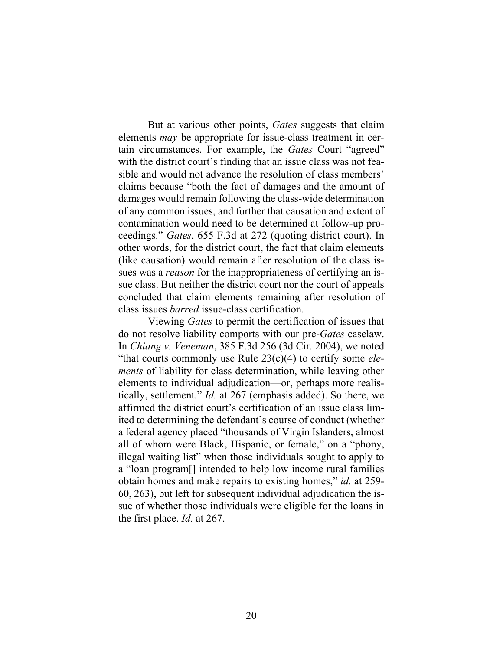But at various other points, *Gates* suggests that claim elements *may* be appropriate for issue-class treatment in certain circumstances. For example, the *Gates* Court "agreed" with the district court's finding that an issue class was not feasible and would not advance the resolution of class members' claims because "both the fact of damages and the amount of damages would remain following the class-wide determination of any common issues, and further that causation and extent of contamination would need to be determined at follow-up proceedings." *Gates*, 655 F.3d at 272 (quoting district court). In other words, for the district court, the fact that claim elements (like causation) would remain after resolution of the class issues was a *reason* for the inappropriateness of certifying an issue class. But neither the district court nor the court of appeals concluded that claim elements remaining after resolution of class issues *barred* issue-class certification.

Viewing *Gates* to permit the certification of issues that do not resolve liability comports with our pre-*Gates* caselaw. In *Chiang v. Veneman*, 385 F.3d 256 (3d Cir. 2004), we noted "that courts commonly use Rule 23(c)(4) to certify some *elements* of liability for class determination, while leaving other elements to individual adjudication—or, perhaps more realistically, settlement." *Id.* at 267 (emphasis added). So there, we affirmed the district court's certification of an issue class limited to determining the defendant's course of conduct (whether a federal agency placed "thousands of Virgin Islanders, almost all of whom were Black, Hispanic, or female," on a "phony, illegal waiting list" when those individuals sought to apply to a "loan program[] intended to help low income rural families obtain homes and make repairs to existing homes," *id.* at 259- 60, 263), but left for subsequent individual adjudication the issue of whether those individuals were eligible for the loans in the first place. *Id.* at 267.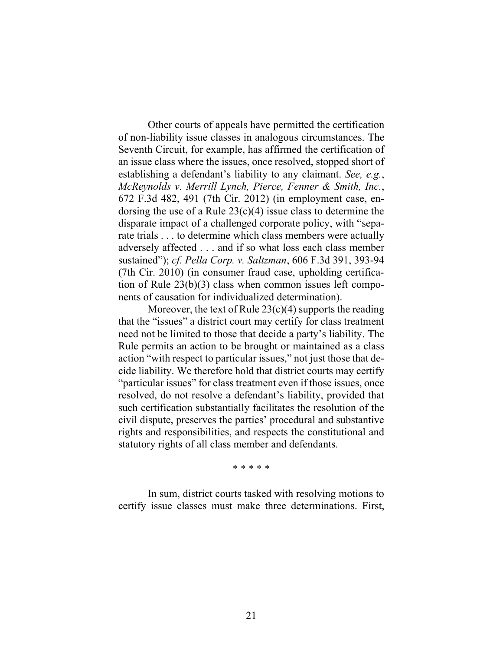Other courts of appeals have permitted the certification of non-liability issue classes in analogous circumstances. The Seventh Circuit, for example, has affirmed the certification of an issue class where the issues, once resolved, stopped short of establishing a defendant's liability to any claimant. *See, e.g.*, *McReynolds v. Merrill Lynch, Pierce, Fenner & Smith, Inc.*, 672 F.3d 482, 491 (7th Cir. 2012) (in employment case, endorsing the use of a Rule  $23(c)(4)$  issue class to determine the disparate impact of a challenged corporate policy, with "separate trials . . . to determine which class members were actually adversely affected . . . and if so what loss each class member sustained"); *cf. Pella Corp. v. Saltzman*, 606 F.3d 391, 393-94 (7th Cir. 2010) (in consumer fraud case, upholding certification of Rule 23(b)(3) class when common issues left components of causation for individualized determination).

Moreover, the text of Rule  $23(c)(4)$  supports the reading that the "issues" a district court may certify for class treatment need not be limited to those that decide a party's liability. The Rule permits an action to be brought or maintained as a class action "with respect to particular issues," not just those that decide liability. We therefore hold that district courts may certify "particular issues" for class treatment even if those issues, once resolved, do not resolve a defendant's liability, provided that such certification substantially facilitates the resolution of the civil dispute, preserves the parties' procedural and substantive rights and responsibilities, and respects the constitutional and statutory rights of all class member and defendants.

\* \* \* \* \*

In sum, district courts tasked with resolving motions to certify issue classes must make three determinations. First,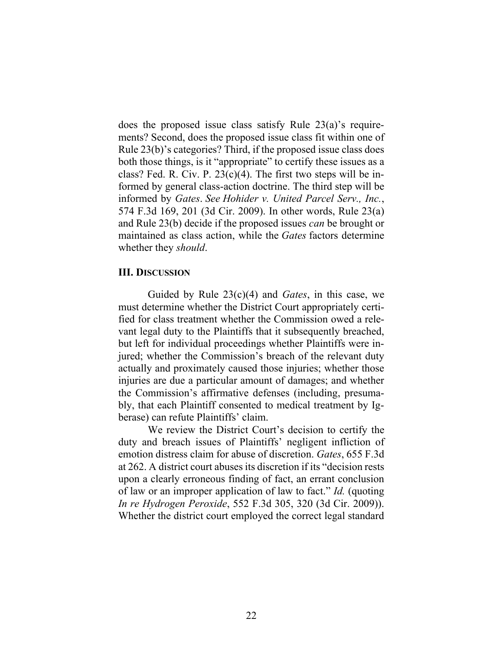does the proposed issue class satisfy Rule 23(a)'s requirements? Second, does the proposed issue class fit within one of Rule 23(b)'s categories? Third, if the proposed issue class does both those things, is it "appropriate" to certify these issues as a class? Fed. R. Civ. P.  $23(c)(4)$ . The first two steps will be informed by general class-action doctrine. The third step will be informed by *Gates*. *See Hohider v. United Parcel Serv., Inc.*, 574 F.3d 169, 201 (3d Cir. 2009). In other words, Rule 23(a) and Rule 23(b) decide if the proposed issues *can* be brought or maintained as class action, while the *Gates* factors determine whether they *should*.

#### **III. DISCUSSION**

Guided by Rule 23(c)(4) and *Gates*, in this case, we must determine whether the District Court appropriately certified for class treatment whether the Commission owed a relevant legal duty to the Plaintiffs that it subsequently breached, but left for individual proceedings whether Plaintiffs were injured; whether the Commission's breach of the relevant duty actually and proximately caused those injuries; whether those injuries are due a particular amount of damages; and whether the Commission's affirmative defenses (including, presumably, that each Plaintiff consented to medical treatment by Igberase) can refute Plaintiffs' claim.

We review the District Court's decision to certify the duty and breach issues of Plaintiffs' negligent infliction of emotion distress claim for abuse of discretion. *Gates*, 655 F.3d at 262. A district court abuses its discretion if its "decision rests upon a clearly erroneous finding of fact, an errant conclusion of law or an improper application of law to fact." *Id.* (quoting *In re Hydrogen Peroxide*, 552 F.3d 305, 320 (3d Cir. 2009)). Whether the district court employed the correct legal standard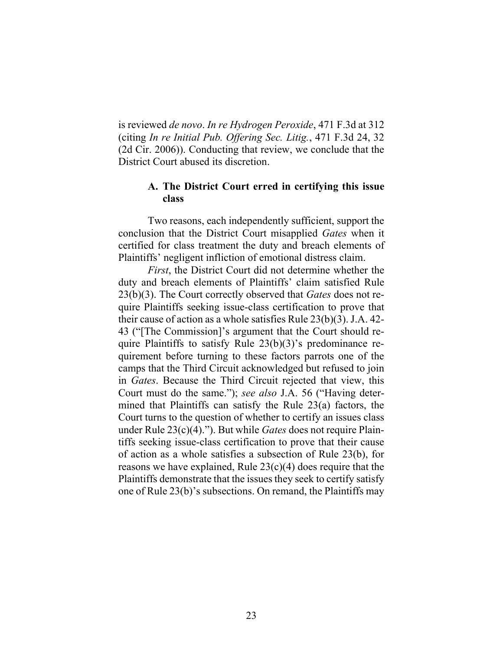is reviewed *de novo*. *In re Hydrogen Peroxide*, 471 F.3d at 312 (citing *In re Initial Pub. Offering Sec. Litig.*, 471 F.3d 24, 32 (2d Cir. 2006)). Conducting that review, we conclude that the District Court abused its discretion.

### **A. The District Court erred in certifying this issue class**

Two reasons, each independently sufficient, support the conclusion that the District Court misapplied *Gates* when it certified for class treatment the duty and breach elements of Plaintiffs' negligent infliction of emotional distress claim.

*First*, the District Court did not determine whether the duty and breach elements of Plaintiffs' claim satisfied Rule 23(b)(3). The Court correctly observed that *Gates* does not require Plaintiffs seeking issue-class certification to prove that their cause of action as a whole satisfies Rule 23(b)(3). J.A. 42- 43 ("[The Commission]'s argument that the Court should require Plaintiffs to satisfy Rule 23(b)(3)'s predominance requirement before turning to these factors parrots one of the camps that the Third Circuit acknowledged but refused to join in *Gates*. Because the Third Circuit rejected that view, this Court must do the same."); *see also* J.A. 56 ("Having determined that Plaintiffs can satisfy the Rule 23(a) factors, the Court turns to the question of whether to certify an issues class under Rule 23(c)(4)."). But while *Gates* does not require Plaintiffs seeking issue-class certification to prove that their cause of action as a whole satisfies a subsection of Rule 23(b), for reasons we have explained, Rule 23(c)(4) does require that the Plaintiffs demonstrate that the issues they seek to certify satisfy one of Rule 23(b)'s subsections. On remand, the Plaintiffs may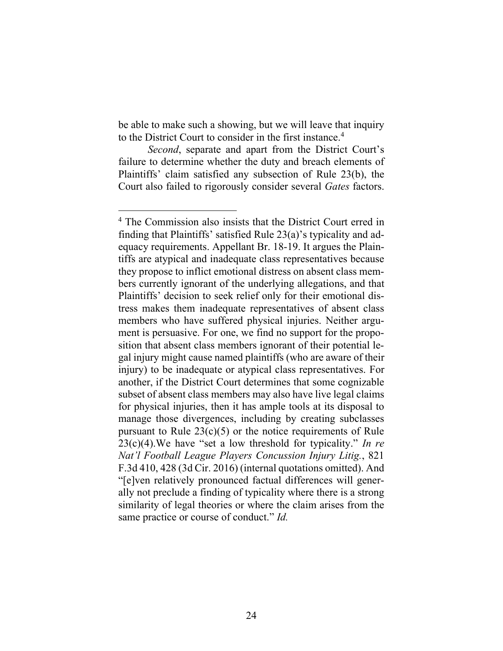be able to make such a showing, but we will leave that inquiry to the District Court to consider in the first instance. 4

*Second*, separate and apart from the District Court's failure to determine whether the duty and breach elements of Plaintiffs' claim satisfied any subsection of Rule 23(b), the Court also failed to rigorously consider several *Gates* factors.

<sup>4</sup> The Commission also insists that the District Court erred in finding that Plaintiffs' satisfied Rule 23(a)'s typicality and adequacy requirements. Appellant Br. 18-19. It argues the Plaintiffs are atypical and inadequate class representatives because they propose to inflict emotional distress on absent class members currently ignorant of the underlying allegations, and that Plaintiffs' decision to seek relief only for their emotional distress makes them inadequate representatives of absent class members who have suffered physical injuries. Neither argument is persuasive. For one, we find no support for the proposition that absent class members ignorant of their potential legal injury might cause named plaintiffs (who are aware of their injury) to be inadequate or atypical class representatives. For another, if the District Court determines that some cognizable subset of absent class members may also have live legal claims for physical injuries, then it has ample tools at its disposal to manage those divergences, including by creating subclasses pursuant to Rule  $23(c)(5)$  or the notice requirements of Rule 23(c)(4).We have "set a low threshold for typicality." *In re Nat'l Football League Players Concussion Injury Litig.*, 821 F.3d 410, 428 (3d Cir. 2016) (internal quotations omitted). And "[e]ven relatively pronounced factual differences will generally not preclude a finding of typicality where there is a strong similarity of legal theories or where the claim arises from the same practice or course of conduct." *Id.*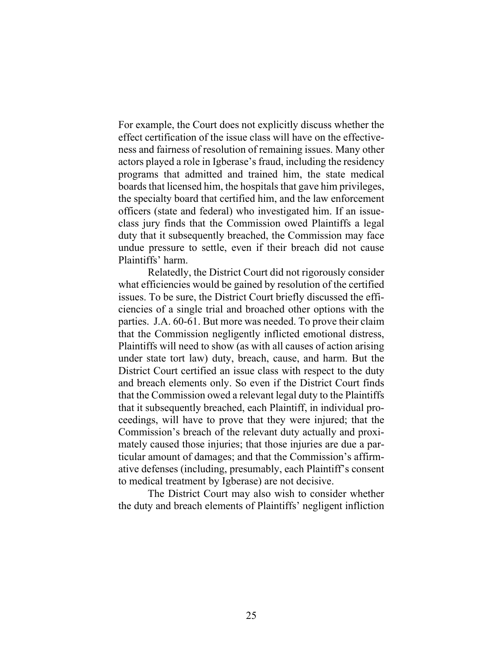For example, the Court does not explicitly discuss whether the effect certification of the issue class will have on the effectiveness and fairness of resolution of remaining issues. Many other actors played a role in Igberase's fraud, including the residency programs that admitted and trained him, the state medical boards that licensed him, the hospitals that gave him privileges, the specialty board that certified him, and the law enforcement officers (state and federal) who investigated him. If an issueclass jury finds that the Commission owed Plaintiffs a legal duty that it subsequently breached, the Commission may face undue pressure to settle, even if their breach did not cause Plaintiffs' harm.

Relatedly, the District Court did not rigorously consider what efficiencies would be gained by resolution of the certified issues. To be sure, the District Court briefly discussed the efficiencies of a single trial and broached other options with the parties. J.A. 60-61. But more was needed. To prove their claim that the Commission negligently inflicted emotional distress, Plaintiffs will need to show (as with all causes of action arising under state tort law) duty, breach, cause, and harm. But the District Court certified an issue class with respect to the duty and breach elements only. So even if the District Court finds that the Commission owed a relevant legal duty to the Plaintiffs that it subsequently breached, each Plaintiff, in individual proceedings, will have to prove that they were injured; that the Commission's breach of the relevant duty actually and proximately caused those injuries; that those injuries are due a particular amount of damages; and that the Commission's affirmative defenses (including, presumably, each Plaintiff's consent to medical treatment by Igberase) are not decisive.

The District Court may also wish to consider whether the duty and breach elements of Plaintiffs' negligent infliction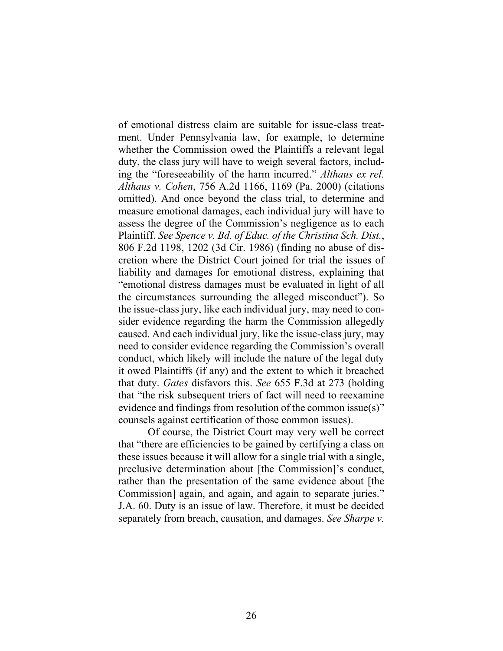of emotional distress claim are suitable for issue-class treatment. Under Pennsylvania law, for example, to determine whether the Commission owed the Plaintiffs a relevant legal duty, the class jury will have to weigh several factors, including the "foreseeability of the harm incurred." *Althaus ex rel. Althaus v. Cohen*, 756 A.2d 1166, 1169 (Pa. 2000) (citations omitted). And once beyond the class trial, to determine and measure emotional damages, each individual jury will have to assess the degree of the Commission's negligence as to each Plaintiff. *See Spence v. Bd. of Educ. of the Christina Sch. Dist.*, 806 F.2d 1198, 1202 (3d Cir. 1986) (finding no abuse of discretion where the District Court joined for trial the issues of liability and damages for emotional distress, explaining that "emotional distress damages must be evaluated in light of all the circumstances surrounding the alleged misconduct"). So the issue-class jury, like each individual jury, may need to consider evidence regarding the harm the Commission allegedly caused. And each individual jury, like the issue-class jury, may need to consider evidence regarding the Commission's overall conduct, which likely will include the nature of the legal duty it owed Plaintiffs (if any) and the extent to which it breached that duty. *Gates* disfavors this. *See* 655 F.3d at 273 (holding that "the risk subsequent triers of fact will need to reexamine evidence and findings from resolution of the common issue(s)" counsels against certification of those common issues).

Of course, the District Court may very well be correct that "there are efficiencies to be gained by certifying a class on these issues because it will allow for a single trial with a single, preclusive determination about [the Commission]'s conduct, rather than the presentation of the same evidence about [the Commission] again, and again, and again to separate juries." J.A. 60. Duty is an issue of law. Therefore, it must be decided separately from breach, causation, and damages. *See Sharpe v.*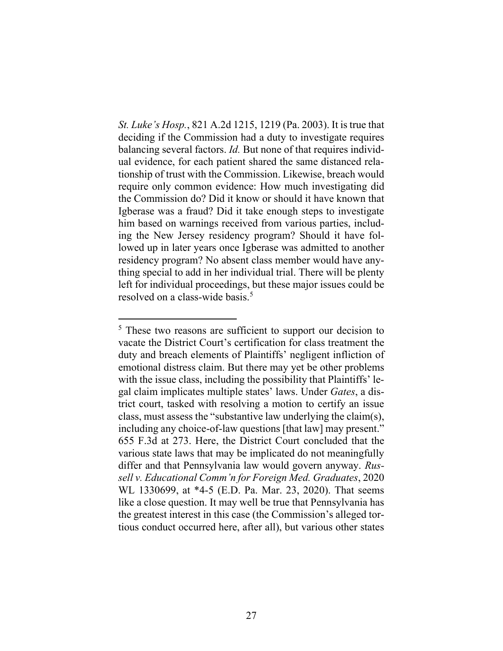*St. Luke's Hosp.*, 821 A.2d 1215, 1219 (Pa. 2003). It is true that deciding if the Commission had a duty to investigate requires balancing several factors. *Id.* But none of that requires individual evidence, for each patient shared the same distanced relationship of trust with the Commission. Likewise, breach would require only common evidence: How much investigating did the Commission do? Did it know or should it have known that Igberase was a fraud? Did it take enough steps to investigate him based on warnings received from various parties, including the New Jersey residency program? Should it have followed up in later years once Igberase was admitted to another residency program? No absent class member would have anything special to add in her individual trial. There will be plenty left for individual proceedings, but these major issues could be resolved on a class-wide basis. 5

<sup>&</sup>lt;sup>5</sup> These two reasons are sufficient to support our decision to vacate the District Court's certification for class treatment the duty and breach elements of Plaintiffs' negligent infliction of emotional distress claim. But there may yet be other problems with the issue class, including the possibility that Plaintiffs' legal claim implicates multiple states' laws. Under *Gates*, a district court, tasked with resolving a motion to certify an issue class, must assess the "substantive law underlying the claim(s), including any choice-of-law questions [that law] may present." 655 F.3d at 273. Here, the District Court concluded that the various state laws that may be implicated do not meaningfully differ and that Pennsylvania law would govern anyway. *Russell v. Educational Comm'n for Foreign Med. Graduates*, 2020 WL 1330699, at \*4-5 (E.D. Pa. Mar. 23, 2020). That seems like a close question. It may well be true that Pennsylvania has the greatest interest in this case (the Commission's alleged tortious conduct occurred here, after all), but various other states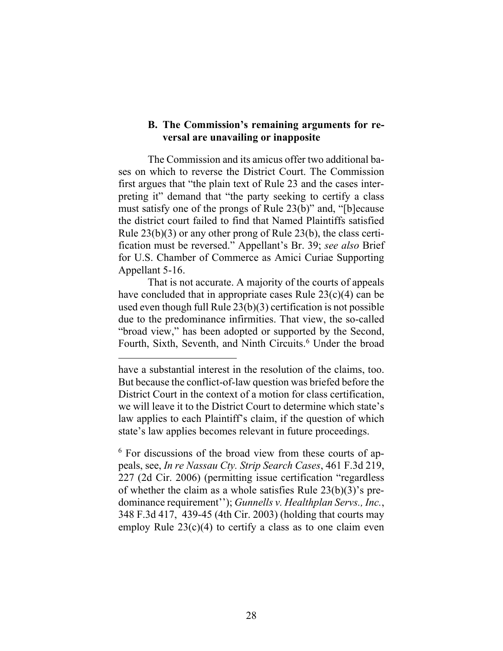### **B. The Commission's remaining arguments for reversal are unavailing or inapposite**

The Commission and its amicus offer two additional bases on which to reverse the District Court. The Commission first argues that "the plain text of Rule 23 and the cases interpreting it" demand that "the party seeking to certify a class must satisfy one of the prongs of Rule 23(b)" and, "[b]ecause the district court failed to find that Named Plaintiffs satisfied Rule 23(b)(3) or any other prong of Rule 23(b), the class certification must be reversed." Appellant's Br. 39; *see also* Brief for U.S. Chamber of Commerce as Amici Curiae Supporting Appellant 5-16.

That is not accurate. A majority of the courts of appeals have concluded that in appropriate cases Rule 23(c)(4) can be used even though full Rule 23(b)(3) certification is not possible due to the predominance infirmities. That view, the so-called "broad view," has been adopted or supported by the Second, Fourth, Sixth, Seventh, and Ninth Circuits. <sup>6</sup> Under the broad

have a substantial interest in the resolution of the claims, too. But because the conflict-of-law question was briefed before the District Court in the context of a motion for class certification, we will leave it to the District Court to determine which state's law applies to each Plaintiff's claim, if the question of which state's law applies becomes relevant in future proceedings.

<sup>&</sup>lt;sup>6</sup> For discussions of the broad view from these courts of appeals, see, *In re Nassau Cty. Strip Search Cases*, 461 F.3d 219, 227 (2d Cir. 2006) (permitting issue certification "regardless of whether the claim as a whole satisfies Rule 23(b)(3)'s predominance requirement''); *Gunnells v. Healthplan Servs., Inc.*, 348 F.3d 417, 439-45 (4th Cir. 2003) (holding that courts may employ Rule  $23(c)(4)$  to certify a class as to one claim even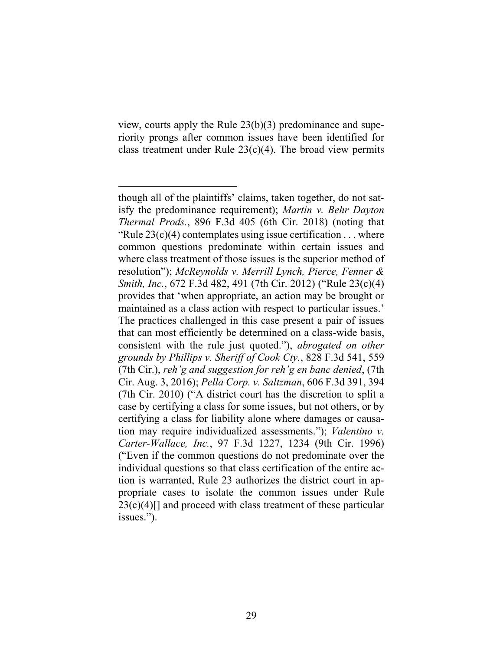view, courts apply the Rule 23(b)(3) predominance and superiority prongs after common issues have been identified for class treatment under Rule  $23(c)(4)$ . The broad view permits

though all of the plaintiffs' claims, taken together, do not satisfy the predominance requirement); *Martin v. Behr Dayton Thermal Prods.*, 896 F.3d 405 (6th Cir. 2018) (noting that "Rule  $23(c)(4)$  contemplates using issue certification . . . where common questions predominate within certain issues and where class treatment of those issues is the superior method of resolution"); *McReynolds v. Merrill Lynch, Pierce, Fenner & Smith, Inc.*, 672 F.3d 482, 491 (7th Cir. 2012) ("Rule 23(c)(4) provides that 'when appropriate, an action may be brought or maintained as a class action with respect to particular issues.' The practices challenged in this case present a pair of issues that can most efficiently be determined on a class-wide basis, consistent with the rule just quoted."), *abrogated on other grounds by Phillips v. Sheriff of Cook Cty.*, 828 F.3d 541, 559 (7th Cir.), *reh'g and suggestion for reh'g en banc denied*, (7th Cir. Aug. 3, 2016); *Pella Corp. v. Saltzman*, 606 F.3d 391, 394 (7th Cir. 2010) ("A district court has the discretion to split a case by certifying a class for some issues, but not others, or by certifying a class for liability alone where damages or causation may require individualized assessments."); *Valentino v. Carter-Wallace, Inc.*, 97 F.3d 1227, 1234 (9th Cir. 1996) ("Even if the common questions do not predominate over the individual questions so that class certification of the entire action is warranted, Rule 23 authorizes the district court in appropriate cases to isolate the common issues under Rule  $23(c)(4)$ [] and proceed with class treatment of these particular issues.").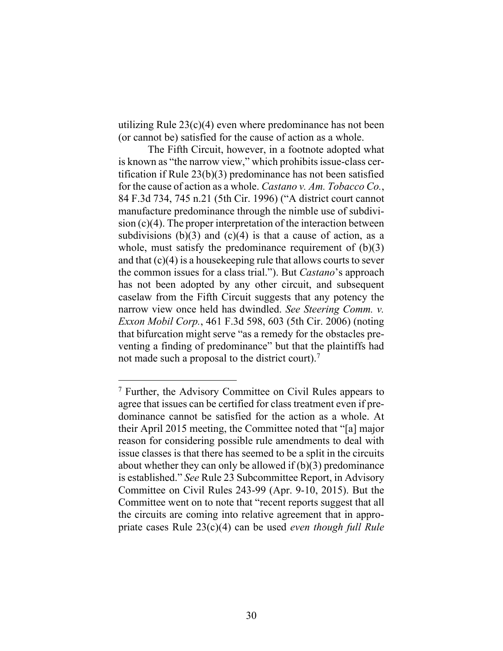utilizing Rule 23(c)(4) even where predominance has not been (or cannot be) satisfied for the cause of action as a whole.

The Fifth Circuit, however, in a footnote adopted what is known as "the narrow view," which prohibits issue-class certification if Rule 23(b)(3) predominance has not been satisfied for the cause of action as a whole. *Castano v. Am. Tobacco Co.*, 84 F.3d 734, 745 n.21 (5th Cir. 1996) ("A district court cannot manufacture predominance through the nimble use of subdivision (c)(4). The proper interpretation of the interaction between subdivisions  $(b)(3)$  and  $(c)(4)$  is that a cause of action, as a whole, must satisfy the predominance requirement of  $(b)(3)$ and that  $(c)(4)$  is a house keeping rule that allows courts to sever the common issues for a class trial."). But *Castano*'s approach has not been adopted by any other circuit, and subsequent caselaw from the Fifth Circuit suggests that any potency the narrow view once held has dwindled. *See Steering Comm. v. Exxon Mobil Corp.*, 461 F.3d 598, 603 (5th Cir. 2006) (noting that bifurcation might serve "as a remedy for the obstacles preventing a finding of predominance" but that the plaintiffs had not made such a proposal to the district court).<sup>7</sup>

<sup>7</sup> Further, the Advisory Committee on Civil Rules appears to agree that issues can be certified for class treatment even if predominance cannot be satisfied for the action as a whole. At their April 2015 meeting, the Committee noted that "[a] major reason for considering possible rule amendments to deal with issue classes is that there has seemed to be a split in the circuits about whether they can only be allowed if (b)(3) predominance is established." *See* Rule 23 Subcommittee Report, in Advisory Committee on Civil Rules 243-99 (Apr. 9-10, 2015). But the Committee went on to note that "recent reports suggest that all the circuits are coming into relative agreement that in appropriate cases Rule 23(c)(4) can be used *even though full Rule*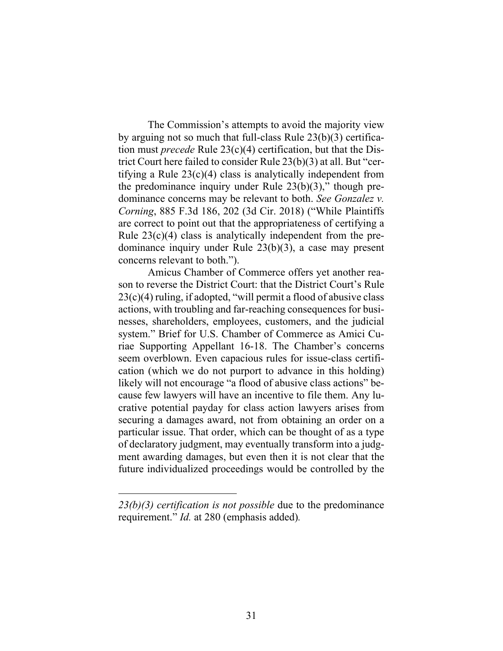The Commission's attempts to avoid the majority view by arguing not so much that full-class Rule 23(b)(3) certification must *precede* Rule 23(c)(4) certification, but that the District Court here failed to consider Rule 23(b)(3) at all. But "certifying a Rule 23(c)(4) class is analytically independent from the predominance inquiry under Rule  $23(b)(3)$ ," though predominance concerns may be relevant to both. *See Gonzalez v. Corning*, 885 F.3d 186, 202 (3d Cir. 2018) ("While Plaintiffs are correct to point out that the appropriateness of certifying a Rule 23(c)(4) class is analytically independent from the predominance inquiry under Rule 23(b)(3), a case may present concerns relevant to both.").

Amicus Chamber of Commerce offers yet another reason to reverse the District Court: that the District Court's Rule  $23(c)(4)$  ruling, if adopted, "will permit a flood of abusive class actions, with troubling and far-reaching consequences for businesses, shareholders, employees, customers, and the judicial system." Brief for U.S. Chamber of Commerce as Amici Curiae Supporting Appellant 16-18. The Chamber's concerns seem overblown. Even capacious rules for issue-class certification (which we do not purport to advance in this holding) likely will not encourage "a flood of abusive class actions" because few lawyers will have an incentive to file them. Any lucrative potential payday for class action lawyers arises from securing a damages award, not from obtaining an order on a particular issue. That order, which can be thought of as a type of declaratory judgment, may eventually transform into a judgment awarding damages, but even then it is not clear that the future individualized proceedings would be controlled by the

*<sup>23(</sup>b)(3) certification is not possible* due to the predominance requirement." *Id.* at 280 (emphasis added)*.*